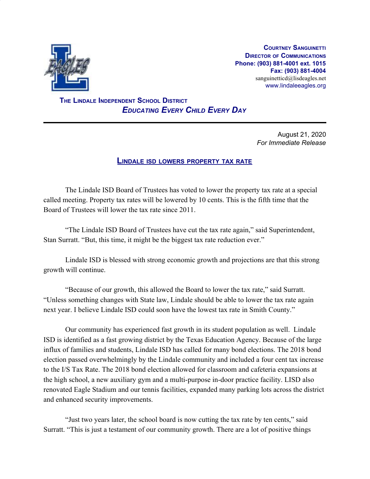

**COURTNEY SANGUINETTI DIRECTOR OF COMMUNICATIONS Phone: (903) 881-4001 ext. 1015 Fax: (903) 881-4004** sanguinetticd@lisdeagles.net www.lindaleeagles.org

 **THE LINDALE INDEPENDENT SCHOOL DISTRICT** *EDUCATING EVERY CHILD EVERY DAY*

> August 21, 2020 *For Immediate Release*

## **LINDALE ISD LOWERS PROPERTY TAX RATE**

The Lindale ISD Board of Trustees has voted to lower the property tax rate at a special called meeting. Property tax rates will be lowered by 10 cents. This is the fifth time that the Board of Trustees will lower the tax rate since 2011.

"The Lindale ISD Board of Trustees have cut the tax rate again," said Superintendent, Stan Surratt. "But, this time, it might be the biggest tax rate reduction ever."

Lindale ISD is blessed with strong economic growth and projections are that this strong growth will continue.

"Because of our growth, this allowed the Board to lower the tax rate," said Surratt. "Unless something changes with State law, Lindale should be able to lower the tax rate again next year. I believe Lindale ISD could soon have the lowest tax rate in Smith County."

Our community has experienced fast growth in its student population as well. Lindale ISD is identified as a fast growing district by the Texas Education Agency. Because of the large influx of families and students, Lindale ISD has called for many bond elections. The 2018 bond election passed overwhelmingly by the Lindale community and included a four cent tax increase to the I/S Tax Rate. The 2018 bond election allowed for classroom and cafeteria expansions at the high school, a new auxiliary gym and a multi-purpose in-door practice facility. LISD also renovated Eagle Stadium and our tennis facilities, expanded many parking lots across the district and enhanced security improvements.

"Just two years later, the school board is now cutting the tax rate by ten cents," said Surratt. "This is just a testament of our community growth. There are a lot of positive things